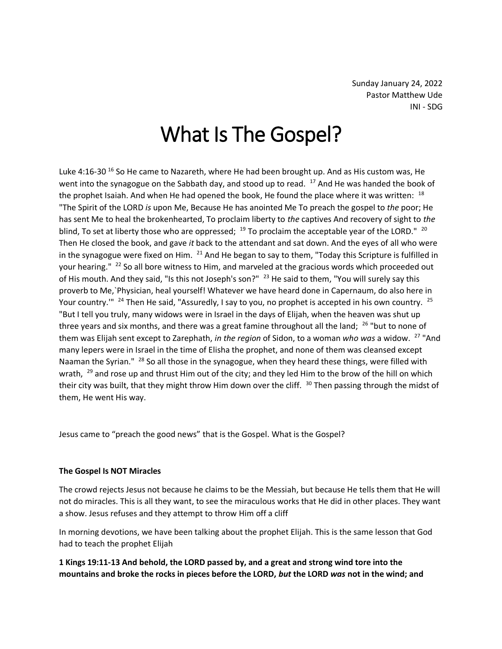Sunday January 24, 2022 Pastor Matthew Ude INI - SDG

# What Is The Gospel?

Luke 4:16-30<sup>16</sup> So He came to Nazareth, where He had been brought up. And as His custom was, He went into the synagogue on the Sabbath day, and stood up to read. <sup>17</sup> And He was handed the book of the prophet Isaiah. And when He had opened the book, He found the place where it was written:  $18$ "The Spirit of the LORD *is* upon Me, Because He has anointed Me To preach the gospel to *the* poor; He has sent Me to heal the brokenhearted, To proclaim liberty to *the* captives And recovery of sight to *the*  blind, To set at liberty those who are oppressed;  $19$  To proclaim the acceptable year of the LORD."  $20$ Then He closed the book, and gave *it* back to the attendant and sat down. And the eyes of all who were in the synagogue were fixed on Him.  $^{21}$  And He began to say to them, "Today this Scripture is fulfilled in your hearing." <sup>22</sup> So all bore witness to Him, and marveled at the gracious words which proceeded out of His mouth. And they said, "Is this not Joseph's son?" <sup>23</sup> He said to them, "You will surely say this proverb to Me,`Physician, heal yourself! Whatever we have heard done in Capernaum, do also here in Your country." <sup>24</sup> Then He said, "Assuredly, I say to you, no prophet is accepted in his own country. <sup>25</sup> "But I tell you truly, many widows were in Israel in the days of Elijah, when the heaven was shut up three years and six months, and there was a great famine throughout all the land;  $^{26}$  "but to none of them was Elijah sent except to Zarephath, *in the region* of Sidon, to a woman *who was* a widow. <sup>27</sup> "And many lepers were in Israel in the time of Elisha the prophet, and none of them was cleansed except Naaman the Syrian."  $^{28}$  So all those in the synagogue, when they heard these things, were filled with wrath, <sup>29</sup> and rose up and thrust Him out of the city; and they led Him to the brow of the hill on which their city was built, that they might throw Him down over the cliff. <sup>30</sup> Then passing through the midst of them, He went His way.

Jesus came to "preach the good news" that is the Gospel. What is the Gospel?

## **The Gospel Is NOT Miracles**

The crowd rejects Jesus not because he claims to be the Messiah, but because He tells them that He will not do miracles. This is all they want, to see the miraculous works that He did in other places. They want a show. Jesus refuses and they attempt to throw Him off a cliff

In morning devotions, we have been talking about the prophet Elijah. This is the same lesson that God had to teach the prophet Elijah

**1 Kings 19:11-13 And behold, the LORD passed by, and a great and strong wind tore into the mountains and broke the rocks in pieces before the LORD,** *but* **the LORD** *was* **not in the wind; and**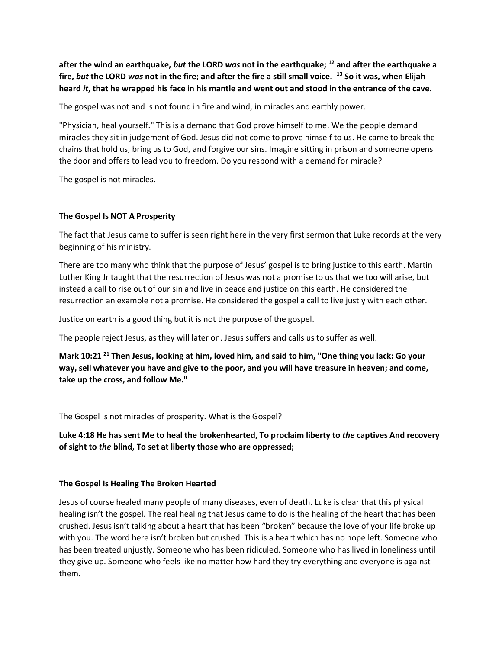**after the wind an earthquake,** *but* **the LORD** *was* **not in the earthquake; <sup>12</sup> and after the earthquake a fire,** *but* **the LORD** *was* **not in the fire; and after the fire a still small voice. <sup>13</sup> So it was, when Elijah heard** *it***, that he wrapped his face in his mantle and went out and stood in the entrance of the cave.**

The gospel was not and is not found in fire and wind, in miracles and earthly power.

"Physician, heal yourself." This is a demand that God prove himself to me. We the people demand miracles they sit in judgement of God. Jesus did not come to prove himself to us. He came to break the chains that hold us, bring us to God, and forgive our sins. Imagine sitting in prison and someone opens the door and offers to lead you to freedom. Do you respond with a demand for miracle?

The gospel is not miracles.

## **The Gospel Is NOT A Prosperity**

The fact that Jesus came to suffer is seen right here in the very first sermon that Luke records at the very beginning of his ministry.

There are too many who think that the purpose of Jesus' gospel is to bring justice to this earth. Martin Luther King Jr taught that the resurrection of Jesus was not a promise to us that we too will arise, but instead a call to rise out of our sin and live in peace and justice on this earth. He considered the resurrection an example not a promise. He considered the gospel a call to live justly with each other.

Justice on earth is a good thing but it is not the purpose of the gospel.

The people reject Jesus, as they will later on. Jesus suffers and calls us to suffer as well.

**Mark 10:21 <sup>21</sup> Then Jesus, looking at him, loved him, and said to him, "One thing you lack: Go your way, sell whatever you have and give to the poor, and you will have treasure in heaven; and come, take up the cross, and follow Me."**

The Gospel is not miracles of prosperity. What is the Gospel?

# **Luke 4:18 He has sent Me to heal the brokenhearted, To proclaim liberty to** *the* **captives And recovery of sight to** *the* **blind, To set at liberty those who are oppressed;**

## **The Gospel Is Healing The Broken Hearted**

Jesus of course healed many people of many diseases, even of death. Luke is clear that this physical healing isn't the gospel. The real healing that Jesus came to do is the healing of the heart that has been crushed. Jesus isn't talking about a heart that has been "broken" because the love of your life broke up with you. The word here isn't broken but crushed. This is a heart which has no hope left. Someone who has been treated unjustly. Someone who has been ridiculed. Someone who has lived in loneliness until they give up. Someone who feels like no matter how hard they try everything and everyone is against them.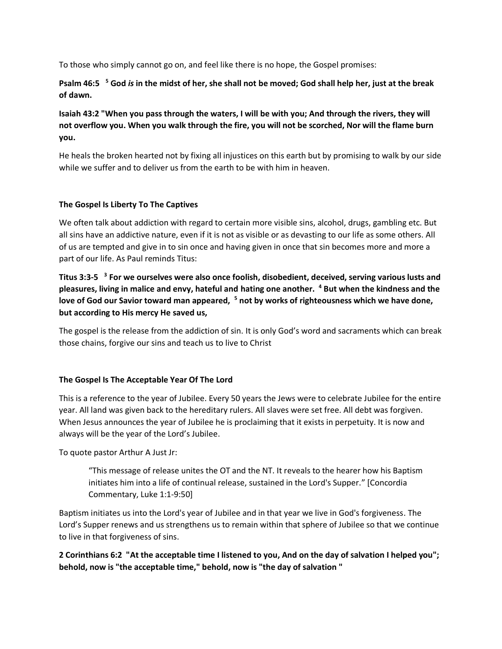To those who simply cannot go on, and feel like there is no hope, the Gospel promises:

**Psalm 46:5 <sup>5</sup> God** *is* **in the midst of her, she shall not be moved; God shall help her, just at the break of dawn.**

**Isaiah 43:2 "When you pass through the waters, I will be with you; And through the rivers, they will not overflow you. When you walk through the fire, you will not be scorched, Nor will the flame burn you.** 

He heals the broken hearted not by fixing all injustices on this earth but by promising to walk by our side while we suffer and to deliver us from the earth to be with him in heaven.

## **The Gospel Is Liberty To The Captives**

We often talk about addiction with regard to certain more visible sins, alcohol, drugs, gambling etc. But all sins have an addictive nature, even if it is not as visible or as devasting to our life as some others. All of us are tempted and give in to sin once and having given in once that sin becomes more and more a part of our life. As Paul reminds Titus:

**Titus 3:3-5 <sup>3</sup> For we ourselves were also once foolish, disobedient, deceived, serving various lusts and pleasures, living in malice and envy, hateful and hating one another. <sup>4</sup> But when the kindness and the love of God our Savior toward man appeared, <sup>5</sup> not by works of righteousness which we have done, but according to His mercy He saved us,**

The gospel is the release from the addiction of sin. It is only God's word and sacraments which can break those chains, forgive our sins and teach us to live to Christ

## **The Gospel Is The Acceptable Year Of The Lord**

This is a reference to the year of Jubilee. Every 50 years the Jews were to celebrate Jubilee for the entire year. All land was given back to the hereditary rulers. All slaves were set free. All debt was forgiven. When Jesus announces the year of Jubilee he is proclaiming that it exists in perpetuity. It is now and always will be the year of the Lord's Jubilee.

To quote pastor Arthur A Just Jr:

"This message of release unites the OT and the NT. It reveals to the hearer how his Baptism initiates him into a life of continual release, sustained in the Lord's Supper." [Concordia Commentary, Luke 1:1-9:50]

Baptism initiates us into the Lord's year of Jubilee and in that year we live in God's forgiveness. The Lord's Supper renews and us strengthens us to remain within that sphere of Jubilee so that we continue to live in that forgiveness of sins.

**2 Corinthians 6:2 "At the acceptable time I listened to you, And on the day of salvation I helped you"; behold, now is "the acceptable time," behold, now is "the day of salvation "**